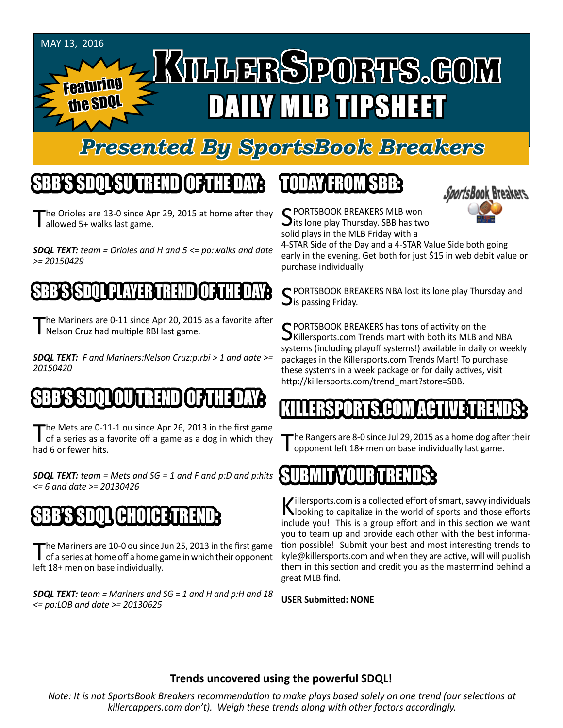#### May 13, 2016 KILLERSPORTS.GOM Featuring the SDQL DAILY MLB TIPSHEET

### *Presented By SportsBook Breakers*

### SBB'S SDQL SU TREND OF THE DAY:

he Orioles are 13-0 since Apr 29, 2015 at home after they detail allowed 5+ walks last game.

*SDQL TEXT: team = Orioles and H and 5 <= po:walks and date >= 20150429*

#### SSD TILLET PLAYER TRENDI

The Mariners are 0-11 since Apr 20, 2015 as a favorite after Nelson Cruz had multiple RBI last game.

*SDQL TEXT: F and Mariners:Nelson Cruz:p:rbi > 1 and date >= 20150420*

# SBB'S SDQLOU TREND OF THE DAY:

The Mets are 0-11-1 ou since Apr 26, 2013 in the first game<br>of a series as a favorite off a game as a dog in which they had 6 or fewer hits.

*SDQL TEXT: team = Mets and SG = 1 and F and p:D and p:hits <= 6 and date >= 20130426*

# (H;[I][H**3**

The Mariners are 10-0 ou since Jun 25, 2013 in the first game<br>of a series at home off a home game in which their opponent left 18+ men on base individually.

*SDQL TEXT: team = Mariners and SG = 1 and H and p:H and 18 <= po:LOB and date >= 20130625*

### TODAY HAOMSBB



C PORTSBOOK BREAKERS MLB won **J**its lone play Thursday. SBB has two solid plays in the MLB Friday with a

4-STAR Side of the Day and a 4-STAR Value Side both going early in the evening. Get both for just \$15 in web debit value or purchase individually.

 $\cap$  PORTSBOOK BREAKERS NBA lost its lone play Thursday and  $\mathbf{\mathcal{J}}$ is passing Friday.

C PORTSBOOK BREAKERS has tons of activity on the Killersports.com Trends mart with both its MLB and NBA systems (including playoff systems!) available in daily or weekly packages in the Killersports.com Trends Mart! To purchase these systems in a week package or for daily actives, visit http://killersports.com/trend\_mart?store=SBB.

#### KILLERSPORTS.COM ACTIVE TRENDS:

he Rangers are 8-0 since Jul 29, 2015 as a home dog after their opponent left 18+ men on base individually last game.

#### SUBMITYOUR TRENDS:

Killersports.com is a collected effort of smart, savvy individuals<br>Nooking to capitalize in the world of sports and those efforts include you! This is a group effort and in this section we want you to team up and provide each other with the best information possible! Submit your best and most interesting trends to kyle@killersports.com and when they are active, will will publish them in this section and credit you as the mastermind behind a great MLB find.

**USER Submitted: NONE**

#### **Trends uncovered using the powerful SDQL!**

*Note: It is not SportsBook Breakers recommendation to make plays based solely on one trend (our selections at killercappers.com don't). Weigh these trends along with other factors accordingly.*